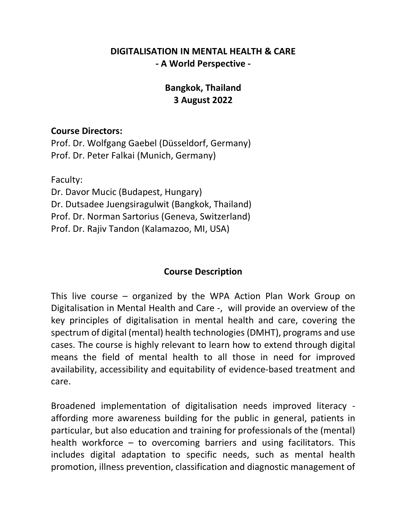### DIGITALISATION IN MENTAL HEALTH & CARE - A World Perspective -

# Bangkok, Thailand 3 August 2022

### Course Directors:

Prof. Dr. Wolfgang Gaebel (Düsseldorf, Germany) Prof. Dr. Peter Falkai (Munich, Germany)

Faculty:

Dr. Davor Mucic (Budapest, Hungary) Dr. Dutsadee Juengsiragulwit (Bangkok, Thailand) Prof. Dr. Norman Sartorius (Geneva, Switzerland) Prof. Dr. Rajiv Tandon (Kalamazoo, MI, USA)

### Course Description

This live course – organized by the WPA Action Plan Work Group on Digitalisation in Mental Health and Care -, will provide an overview of the key principles of digitalisation in mental health and care, covering the spectrum of digital (mental) health technologies (DMHT), programs and use cases. The course is highly relevant to learn how to extend through digital means the field of mental health to all those in need for improved availability, accessibility and equitability of evidence-based treatment and care.

Broadened implementation of digitalisation needs improved literacy affording more awareness building for the public in general, patients in particular, but also education and training for professionals of the (mental) health workforce – to overcoming barriers and using facilitators. This includes digital adaptation to specific needs, such as mental health promotion, illness prevention, classification and diagnostic management of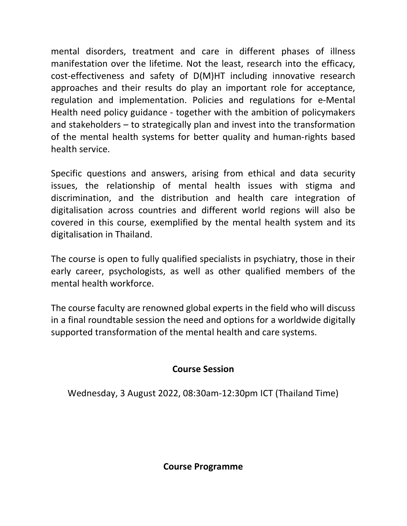mental disorders, treatment and care in different phases of illness manifestation over the lifetime. Not the least, research into the efficacy, cost-effectiveness and safety of D(M)HT including innovative research approaches and their results do play an important role for acceptance, regulation and implementation. Policies and regulations for e-Mental Health need policy guidance - together with the ambition of policymakers and stakeholders – to strategically plan and invest into the transformation of the mental health systems for better quality and human-rights based health service.

Specific questions and answers, arising from ethical and data security issues, the relationship of mental health issues with stigma and discrimination, and the distribution and health care integration of digitalisation across countries and different world regions will also be covered in this course, exemplified by the mental health system and its digitalisation in Thailand.

The course is open to fully qualified specialists in psychiatry, those in their early career, psychologists, as well as other qualified members of the mental health workforce.

The course faculty are renowned global experts in the field who will discuss in a final roundtable session the need and options for a worldwide digitally supported transformation of the mental health and care systems.

### Course Session

Wednesday, 3 August 2022, 08:30am-12:30pm ICT (Thailand Time)

Course Programme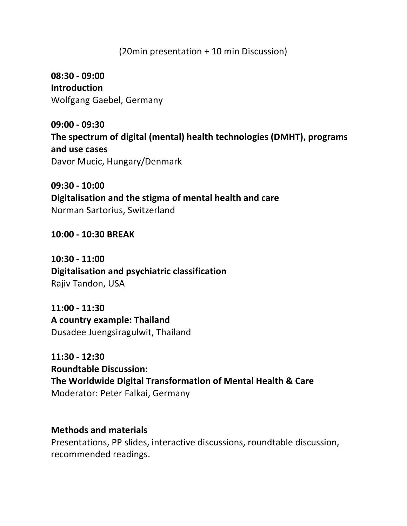### (20min presentation + 10 min Discussion)

08:30 - 09:00 **Introduction** Wolfgang Gaebel, Germany

09:00 - 09:30 The spectrum of digital (mental) health technologies (DMHT), programs and use cases Davor Mucic, Hungary/Denmark

09:30 - 10:00 Digitalisation and the stigma of mental health and care Norman Sartorius, Switzerland

10:00 - 10:30 BREAK

10:30 - 11:00 Digitalisation and psychiatric classification Rajiv Tandon, USA

11:00 - 11:30 A country example: Thailand Dusadee Juengsiragulwit, Thailand

11:30 - 12:30 Roundtable Discussion: The Worldwide Digital Transformation of Mental Health & Care Moderator: Peter Falkai, Germany

#### Methods and materials

Presentations, PP slides, interactive discussions, roundtable discussion, recommended readings.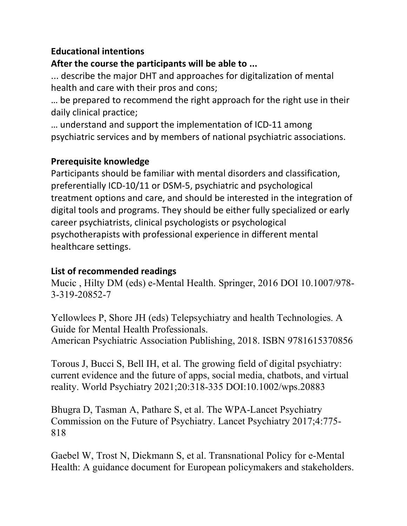## Educational intentions

# After the course the participants will be able to ...

... describe the major DHT and approaches for digitalization of mental health and care with their pros and cons;

… be prepared to recommend the right approach for the right use in their daily clinical practice;

… understand and support the implementation of ICD-11 among psychiatric services and by members of national psychiatric associations.

# Prerequisite knowledge

Participants should be familiar with mental disorders and classification, preferentially ICD-10/11 or DSM-5, psychiatric and psychological treatment options and care, and should be interested in the integration of digital tools and programs. They should be either fully specialized or early career psychiatrists, clinical psychologists or psychological psychotherapists with professional experience in different mental healthcare settings.

# List of recommended readings

Mucic , Hilty DM (eds) e-Mental Health. Springer, 2016 DOI 10.1007/978- 3-319-20852-7

Yellowlees P, Shore JH (eds) Telepsychiatry and health Technologies. A Guide for Mental Health Professionals. American Psychiatric Association Publishing, 2018. ISBN 9781615370856

Torous J, Bucci S, Bell IH, et al. The growing field of digital psychiatry: current evidence and the future of apps, social media, chatbots, and virtual reality. World Psychiatry 2021;20:318-335 DOI:10.1002/wps.20883

Bhugra D, Tasman A, Pathare S, et al. The WPA-Lancet Psychiatry Commission on the Future of Psychiatry. Lancet Psychiatry 2017;4:775- 818

Gaebel W, Trost N, Diekmann S, et al. Transnational Policy for e-Mental Health: A guidance document for European policymakers and stakeholders.